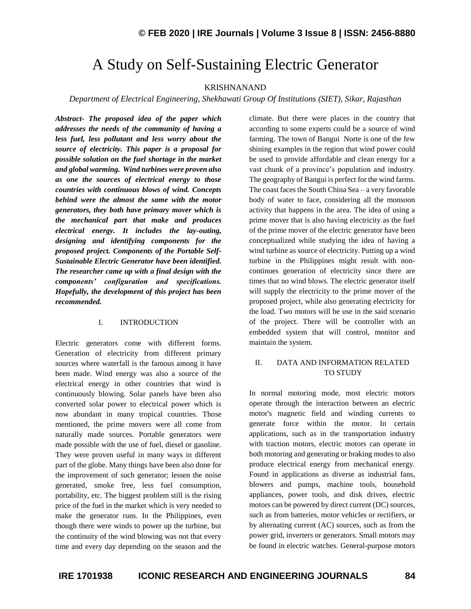# A Study on Self-Sustaining Electric Generator

#### KRISHNANAND

*Department of Electrical Engineering, Shekhawati Group Of Institutions (SIET), Sikar, Rajasthan*

*Abstract- The proposed idea of the paper which addresses the needs of the community of having a less fuel, less pollutant and less worry about the source of electricity. This paper is a proposal for possible solution on the fuel shortage in the market and global warming. Wind turbines were proven also as one the sources of electrical energy to those countries with continuous blows of wind. Concepts behind were the almost the same with the motor generators, they both have primary mover which is the mechanical part that make and produces electrical energy. It includes the lay-outing, designing and identifying components for the proposed project. Components of the Portable Self-Sustainable Electric Generator have been identified. The researcher came up with a final design with the components' configuration and specifications. Hopefully, the development of this project has been recommended.*

#### I. INTRODUCTION

Electric generators come with different forms. Generation of electricity from different primary sources where waterfall is the famous among it have been made. Wind energy was also a source of the electrical energy in other countries that wind is continuously blowing. Solar panels have been also converted solar power to electrical power which is now abundant in many tropical countries. Those mentioned, the prime movers were all come from naturally made sources. Portable generators were made possible with the use of fuel, diesel or gasoline. They were proven useful in many ways in different part of the globe. Many things have been also done for the improvement of such generator; lessen the noise generated, smoke free, less fuel consumption, portability, etc. The biggest problem still is the rising price of the fuel in the market which is very needed to make the generator runs. In the Philippines, even though there were winds to power up the turbine, but the continuity of the wind blowing was not that every time and every day depending on the season and the

climate. But there were places in the country that according to some experts could be a source of wind farming. The town of Bangui Norte is one of the few shining examples in the region that wind power could be used to provide affordable and clean energy for a vast chunk of a province's population and industry. The geography of Bangui is perfect for the wind farms. The coast faces the South China Sea – a very favorable body of water to face, considering all the monsoon activity that happens in the area. The idea of using a prime mover that is also having electricity as the fuel of the prime mover of the electric generator have been conceptualized while studying the idea of having a wind turbine as source of electricity. Putting up a wind turbine in the Philippines might result with noncontinues generation of electricity since there are times that no wind blows. The electric generator itself will supply the electricity to the prime mover of the proposed project, while also generating electricity for the load. Two motors will be use in the said scenario of the project. There will be controller with an embedded system that will control, monitor and maintain the system.

### II. DATA AND INFORMATION RELATED TO STUDY

In normal motoring mode, most electric motors operate through the interaction between an electric motor's magnetic field and winding currents to generate force within the motor. In certain applications, such as in the transportation industry with traction motors, electric motors can operate in both motoring and generating or braking modes to also produce electrical energy from mechanical energy. Found in applications as diverse as industrial fans, blowers and pumps, machine tools, household appliances, power tools, and disk drives, electric motors can be powered by direct current (DC) sources, such as from batteries, motor vehicles or rectifiers, or by alternating current (AC) sources, such as from the power grid, inverters or generators. Small motors may be found in electric watches. General-purpose motors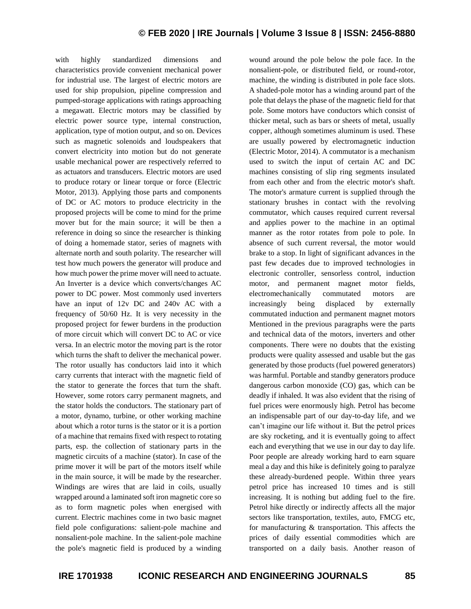with highly standardized dimensions and characteristics provide convenient mechanical power for industrial use. The largest of electric motors are used for ship propulsion, pipeline compression and pumped-storage applications with ratings approaching a megawatt. Electric motors may be classified by electric power source type, internal construction, application, type of motion output, and so on. Devices such as magnetic solenoids and loudspeakers that convert electricity into motion but do not generate usable mechanical power are respectively referred to as actuators and transducers. Electric motors are used to produce rotary or linear torque or force (Electric Motor, 2013). Applying those parts and components of DC or AC motors to produce electricity in the proposed projects will be come to mind for the prime mover but for the main source; it will be then a reference in doing so since the researcher is thinking of doing a homemade stator, series of magnets with alternate north and south polarity. The researcher will test how much powers the generator will produce and how much power the prime mover will need to actuate. An Inverter is a device which converts/changes AC power to DC power. Most commonly used inverters have an input of 12v DC and 240v AC with a frequency of 50/60 Hz. It is very necessity in the proposed project for fewer burdens in the production of more circuit which will convert DC to AC or vice versa. In an electric motor the moving part is the rotor which turns the shaft to deliver the mechanical power. The rotor usually has conductors laid into it which carry currents that interact with the magnetic field of the stator to generate the forces that turn the shaft. However, some rotors carry permanent magnets, and the stator holds the conductors. The stationary part of a motor, dynamo, turbine, or other working machine about which a rotor turns is the stator or it is a portion of a machine that remains fixed with respect to rotating parts, esp. the collection of stationary parts in the magnetic circuits of a machine (stator). In case of the prime mover it will be part of the motors itself while in the main source, it will be made by the researcher. Windings are wires that are laid in coils, usually wrapped around a laminated soft iron magnetic core so as to form magnetic poles when energised with current. Electric machines come in two basic magnet field pole configurations: salient-pole machine and nonsalient-pole machine. In the salient-pole machine the pole's magnetic field is produced by a winding wound around the pole below the pole face. In the nonsalient-pole, or distributed field, or round-rotor, machine, the winding is distributed in pole face slots. A shaded-pole motor has a winding around part of the pole that delays the phase of the magnetic field for that pole. Some motors have conductors which consist of thicker metal, such as bars or sheets of metal, usually copper, although sometimes aluminum is used. These are usually powered by electromagnetic induction (Electric Motor, 2014). A commutator is a mechanism used to switch the input of certain AC and DC machines consisting of slip ring segments insulated from each other and from the electric motor's shaft. The motor's armature current is supplied through the stationary brushes in contact with the revolving commutator, which causes required current reversal and applies power to the machine in an optimal manner as the rotor rotates from pole to pole. In absence of such current reversal, the motor would brake to a stop. In light of significant advances in the past few decades due to improved technologies in electronic controller, sensorless control, induction motor, and permanent magnet motor fields, electromechanically commutated motors are increasingly being displaced by externally commutated induction and permanent magnet motors Mentioned in the previous paragraphs were the parts and technical data of the motors, inverters and other components. There were no doubts that the existing products were quality assessed and usable but the gas generated by those products (fuel powered generators) was harmful. Portable and standby generators produce dangerous carbon monoxide (CO) gas, which can be deadly if inhaled. It was also evident that the rising of fuel prices were enormously high. Petrol has become an indispensable part of our day-to-day life, and we can't imagine our life without it. But the petrol prices are sky rocketing, and it is eventually going to affect each and everything that we use in our day to day life. Poor people are already working hard to earn square meal a day and this hike is definitely going to paralyze these already-burdened people. Within three years petrol price has increased 10 times and is still increasing. It is nothing but adding fuel to the fire. Petrol hike directly or indirectly affects all the major sectors like transportation, textiles, auto, FMCG etc, for manufacturing & transportation. This affects the prices of daily essential commodities which are transported on a daily basis. Another reason of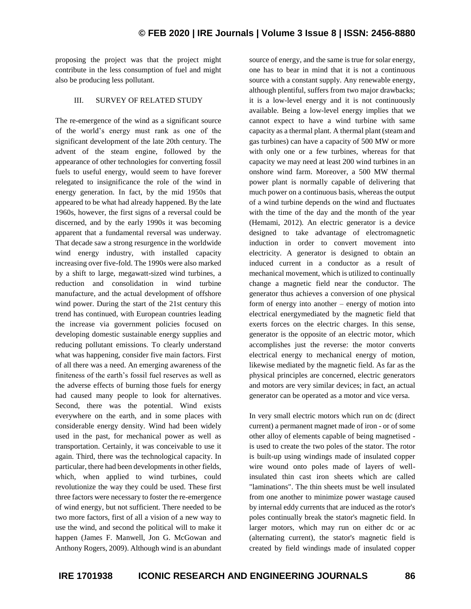proposing the project was that the project might contribute in the less consumption of fuel and might also be producing less pollutant.

#### III. SURVEY OF RELATED STUDY

The re-emergence of the wind as a significant source of the world's energy must rank as one of the significant development of the late 20th century. The advent of the steam engine, followed by the appearance of other technologies for converting fossil fuels to useful energy, would seem to have forever relegated to insignificance the role of the wind in energy generation. In fact, by the mid 1950s that appeared to be what had already happened. By the late 1960s, however, the first signs of a reversal could be discerned, and by the early 1990s it was becoming apparent that a fundamental reversal was underway. That decade saw a strong resurgence in the worldwide wind energy industry, with installed capacity increasing over five-fold. The 1990s were also marked by a shift to large, megawatt-sized wind turbines, a reduction and consolidation in wind turbine manufacture, and the actual development of offshore wind power. During the start of the 21st century this trend has continued, with European countries leading the increase via government policies focused on developing domestic sustainable energy supplies and reducing pollutant emissions. To clearly understand what was happening, consider five main factors. First of all there was a need. An emerging awareness of the finiteness of the earth's fossil fuel reserves as well as the adverse effects of burning those fuels for energy had caused many people to look for alternatives. Second, there was the potential. Wind exists everywhere on the earth, and in some places with considerable energy density. Wind had been widely used in the past, for mechanical power as well as transportation. Certainly, it was conceivable to use it again. Third, there was the technological capacity. In particular, there had been developments in other fields, which, when applied to wind turbines, could revolutionize the way they could be used. These first three factors were necessary to foster the re-emergence of wind energy, but not sufficient. There needed to be two more factors, first of all a vision of a new way to use the wind, and second the political will to make it happen (James F. Manwell, Jon G. McGowan and Anthony Rogers, 2009). Although wind is an abundant source of energy, and the same is true for solar energy, one has to bear in mind that it is not a continuous source with a constant supply. Any renewable energy, although plentiful, suffers from two major drawbacks; it is a low-level energy and it is not continuously available. Being a low-level energy implies that we cannot expect to have a wind turbine with same capacity as a thermal plant. A thermal plant (steam and gas turbines) can have a capacity of 500 MW or more with only one or a few turbines, whereas for that capacity we may need at least 200 wind turbines in an onshore wind farm. Moreover, a 500 MW thermal power plant is normally capable of delivering that much power on a continuous basis, whereas the output of a wind turbine depends on the wind and fluctuates with the time of the day and the month of the year (Hemami, 2012). An electric generator is a device designed to take advantage of electromagnetic induction in order to convert movement into electricity. A generator is designed to obtain an induced current in a conductor as a result of mechanical movement, which is utilized to continually change a magnetic field near the conductor. The generator thus achieves a conversion of one physical form of energy into another – energy of motion into electrical energymediated by the magnetic field that exerts forces on the electric charges. In this sense, generator is the opposite of an electric motor, which accomplishes just the reverse: the motor converts electrical energy to mechanical energy of motion, likewise mediated by the magnetic field. As far as the physical principles are concerned, electric generators and motors are very similar devices; in fact, an actual generator can be operated as a motor and vice versa.

In very small electric motors which run on dc (direct current) a permanent magnet made of iron - or of some other alloy of elements capable of being magnetised is used to create the two poles of the stator. The rotor is built-up using windings made of insulated copper wire wound onto poles made of layers of wellinsulated thin cast iron sheets which are called "laminations". The thin sheets must be well insulated from one another to minimize power wastage caused by internal eddy currents that are induced as the rotor's poles continually break the stator's magnetic field. In larger motors, which may run on either dc or ac (alternating current), the stator's magnetic field is created by field windings made of insulated copper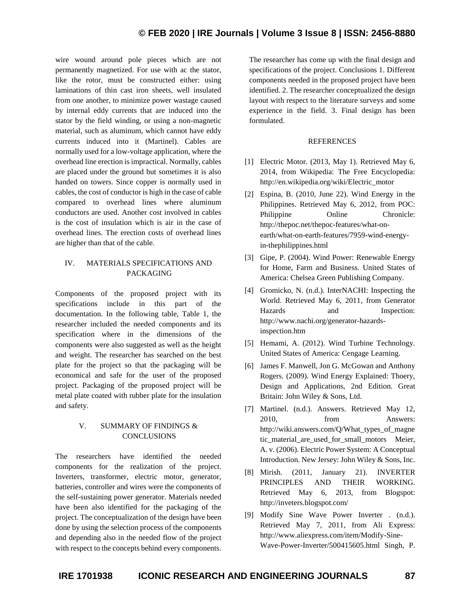wire wound around pole pieces which are not permanently magnetized. For use with ac the stator, like the rotor, must be constructed either: using laminations of thin cast iron sheets, well insulated from one another, to minimize power wastage caused by internal eddy currents that are induced into the stator by the field winding, or using a non-magnetic material, such as aluminum, which cannot have eddy currents induced into it (Martinel). Cables are normally used for a low-voltage application, where the overhead line erection is impractical. Normally, cables are placed under the ground but sometimes it is also handed on towers. Since copper is normally used in cables, the cost of conductor is high in the case of cable compared to overhead lines where aluminum conductors are used. Another cost involved in cables is the cost of insulation which is air in the case of overhead lines. The erection costs of overhead lines are higher than that of the cable.

## IV. MATERIALS SPECIFICATIONS AND PACKAGING

Components of the proposed project with its specifications include in this part of the documentation. In the following table, Table 1, the researcher included the needed components and its specification where in the dimensions of the components were also suggested as well as the height and weight. The researcher has searched on the best plate for the project so that the packaging will be economical and safe for the user of the proposed project. Packaging of the proposed project will be metal plate coated with rubber plate for the insulation and safety.

## V. SUMMARY OF FINDINGS & **CONCLUSIONS**

The researchers have identified the needed components for the realization of the project. Inverters, transformer, electric motor, generator, batteries, controller and wires were the components of the self-sustaining power generator. Materials needed have been also identified for the packaging of the project. The conceptualization of the design have been done by using the selection process of the components and depending also in the needed flow of the project with respect to the concepts behind every components.

The researcher has come up with the final design and specifications of the project. Conclusions 1. Different components needed in the proposed project have been identified. 2. The researcher conceptualized the design layout with respect to the literature surveys and some experience in the field. 3. Final design has been formulated.

### **REFERENCES**

- [1] Electric Motor. (2013, May 1). Retrieved May 6, 2014, from Wikipedia: The Free Encyclopedia: http://en.wikipedia.org/wiki/Electric\_motor
- [2] Espina, B. (2010, June 22). Wind Energy in the Philippines. Retrieved May 6, 2012, from POC: Philippine Online Chronicle: http://thepoc.net/thepoc-features/what-onearth/what-on-earth-features/7959-wind-energyin-thephilippines.html
- [3] Gipe, P. (2004). Wind Power: Renewable Energy for Home, Farm and Business. United States of America: Chelsea Green Publishing Company.
- [4] Gromicko, N. (n.d.). InterNACHI: Inspecting the World. Retrieved May 6, 2011, from Generator Hazards and Inspection: http://www.nachi.org/generator-hazardsinspection.htm
- [5] Hemami, A. (2012). Wind Turbine Technology. United States of America: Cengage Learning.
- [6] James F. Manwell, Jon G. McGowan and Anthony Rogers. (2009). Wind Energy Explained: Thoery, Design and Applications, 2nd Edition. Great Britain: John Wiley & Sons, Ltd.
- [7] Martinel. (n.d.). Answers. Retrieved May 12, 2010, from Answers: http://wiki.answers.com/Q/What\_types\_of\_magne tic\_material\_are\_used\_for\_small\_motors Meier, A. v. (2006). Electric Power System: A Conceptual Introduction. New Jersey: John Wiley & Sons, Inc.
- [8] Mirish. (2011, January 21). INVERTER PRINCIPLES AND THEIR WORKING. Retrieved May 6, 2013, from Blogspot: http://inveters.blogspot.com/
- [9] Modify Sine Wave Power Inverter . (n.d.). Retrieved May 7, 2011, from Ali Express: http://www.aliexpress.com/item/Modify-Sine-Wave-Power-Inverter/500415605.html Singh, P.